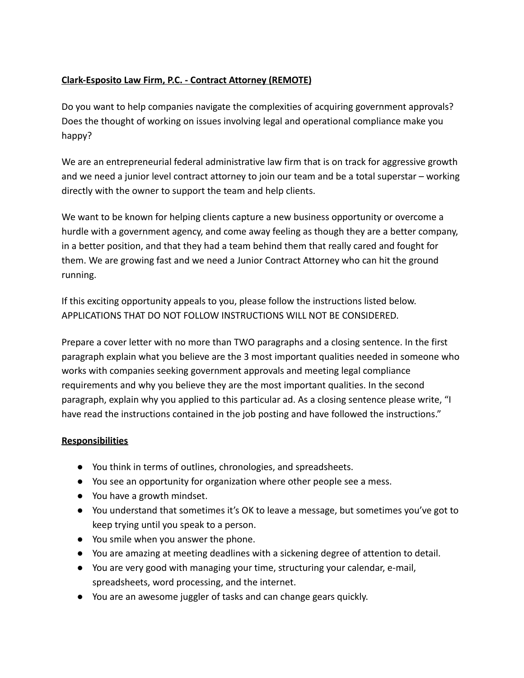# **Clark-Esposito Law Firm, P.C. - Contract Attorney (REMOTE)**

Do you want to help companies navigate the complexities of acquiring government approvals? Does the thought of working on issues involving legal and operational compliance make you happy?

We are an entrepreneurial federal administrative law firm that is on track for aggressive growth and we need a junior level contract attorney to join our team and be a total superstar – working directly with the owner to support the team and help clients.

We want to be known for helping clients capture a new business opportunity or overcome a hurdle with a government agency, and come away feeling as though they are a better company, in a better position, and that they had a team behind them that really cared and fought for them. We are growing fast and we need a Junior Contract Attorney who can hit the ground running.

If this exciting opportunity appeals to you, please follow the instructions listed below. APPLICATIONS THAT DO NOT FOLLOW INSTRUCTIONS WILL NOT BE CONSIDERED.

Prepare a cover letter with no more than TWO paragraphs and a closing sentence. In the first paragraph explain what you believe are the 3 most important qualities needed in someone who works with companies seeking government approvals and meeting legal compliance requirements and why you believe they are the most important qualities. In the second paragraph, explain why you applied to this particular ad. As a closing sentence please write, "I have read the instructions contained in the job posting and have followed the instructions."

## **Responsibilities**

- You think in terms of outlines, chronologies, and spreadsheets.
- You see an opportunity for organization where other people see a mess.
- You have a growth mindset.
- You understand that sometimes it's OK to leave a message, but sometimes you've got to keep trying until you speak to a person.
- You smile when you answer the phone.
- You are amazing at meeting deadlines with a sickening degree of attention to detail.
- You are very good with managing your time, structuring your calendar, e-mail, spreadsheets, word processing, and the internet.
- You are an awesome juggler of tasks and can change gears quickly.